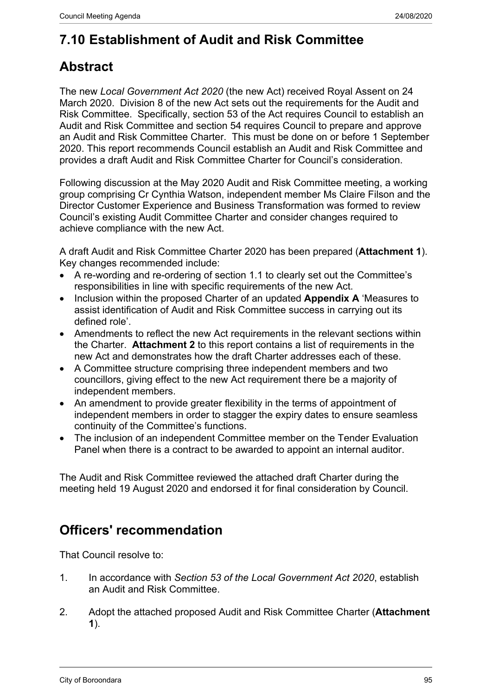# **7.10 Establishment of Audit and Risk Committee**

## **Abstract**

The new *Local Government Act 2020* (the new Act) received Royal Assent on 24 March 2020. Division 8 of the new Act sets out the requirements for the Audit and Risk Committee. Specifically, section 53 of the Act requires Council to establish an Audit and Risk Committee and section 54 requires Council to prepare and approve an Audit and Risk Committee Charter. This must be done on or before 1 September 2020. This report recommends Council establish an Audit and Risk Committee and provides a draft Audit and Risk Committee Charter for Council's consideration.

Following discussion at the May 2020 Audit and Risk Committee meeting, a working group comprising Cr Cynthia Watson, independent member Ms Claire Filson and the Director Customer Experience and Business Transformation was formed to review Council's existing Audit Committee Charter and consider changes required to achieve compliance with the new Act.

A draft Audit and Risk Committee Charter 2020 has been prepared (**Attachment 1**). Key changes recommended include:

- A re-wording and re-ordering of section 1.1 to clearly set out the Committee's responsibilities in line with specific requirements of the new Act.
- Inclusion within the proposed Charter of an updated **Appendix A** 'Measures to assist identification of Audit and Risk Committee success in carrying out its defined role'.
- Amendments to reflect the new Act requirements in the relevant sections within the Charter. **Attachment 2** to this report contains a list of requirements in the new Act and demonstrates how the draft Charter addresses each of these.
- A Committee structure comprising three independent members and two councillors, giving effect to the new Act requirement there be a majority of independent members.
- An amendment to provide greater flexibility in the terms of appointment of independent members in order to stagger the expiry dates to ensure seamless continuity of the Committee's functions.
- The inclusion of an independent Committee member on the Tender Evaluation Panel when there is a contract to be awarded to appoint an internal auditor.

The Audit and Risk Committee reviewed the attached draft Charter during the meeting held 19 August 2020 and endorsed it for final consideration by Council.

### **Officers' recommendation**

That Council resolve to:

- 1. In accordance with *Section 53 of the Local Government Act 2020*, establish an Audit and Risk Committee.
- 2. Adopt the attached proposed Audit and Risk Committee Charter (**Attachment 1**).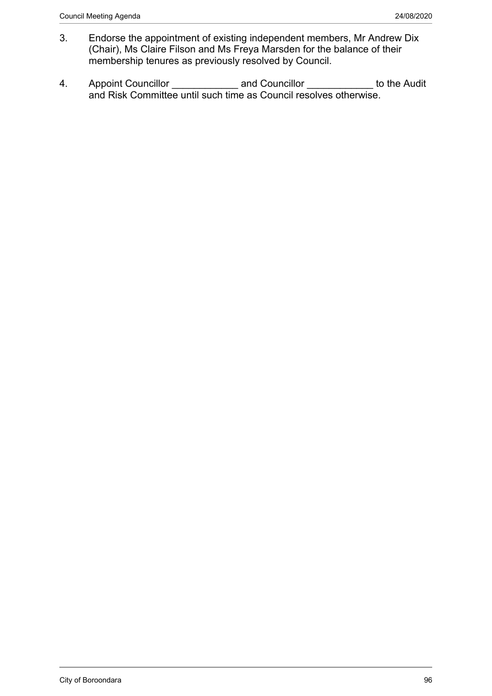- 3. Endorse the appointment of existing independent members, Mr Andrew Dix (Chair), Ms Claire Filson and Ms Freya Marsden for the balance of their membership tenures as previously resolved by Council.
- 4. Appoint Councillor \_\_\_\_\_\_\_\_\_\_\_\_\_\_ and Councillor \_\_\_\_\_\_\_\_\_\_\_\_ to the Audit and Risk Committee until such time as Council resolves otherwise.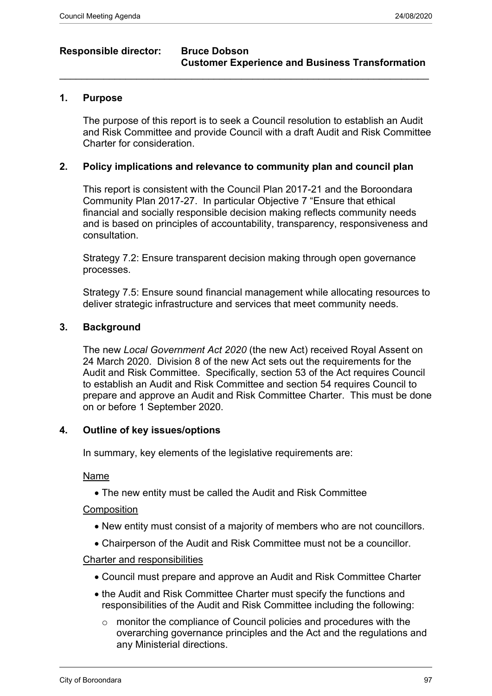#### **Responsible director: Bruce Dobson**

# **Customer Experience and Business Transformation**

#### **1. Purpose**

The purpose of this report is to seek a Council resolution to establish an Audit and Risk Committee and provide Council with a draft Audit and Risk Committee Charter for consideration.

#### **2. Policy implications and relevance to community plan and council plan**

 $\mathcal{L}_\mathcal{L} = \mathcal{L}_\mathcal{L} = \mathcal{L}_\mathcal{L} = \mathcal{L}_\mathcal{L} = \mathcal{L}_\mathcal{L} = \mathcal{L}_\mathcal{L} = \mathcal{L}_\mathcal{L} = \mathcal{L}_\mathcal{L} = \mathcal{L}_\mathcal{L} = \mathcal{L}_\mathcal{L} = \mathcal{L}_\mathcal{L} = \mathcal{L}_\mathcal{L} = \mathcal{L}_\mathcal{L} = \mathcal{L}_\mathcal{L} = \mathcal{L}_\mathcal{L} = \mathcal{L}_\mathcal{L} = \mathcal{L}_\mathcal{L}$ 

This report is consistent with the Council Plan 2017-21 and the Boroondara Community Plan 2017-27. In particular Objective 7 "Ensure that ethical financial and socially responsible decision making reflects community needs and is based on principles of accountability, transparency, responsiveness and consultation.

Strategy 7.2: Ensure transparent decision making through open governance processes.

Strategy 7.5: Ensure sound financial management while allocating resources to deliver strategic infrastructure and services that meet community needs.

#### **3. Background**

The new *Local Government Act 2020* (the new Act) received Royal Assent on 24 March 2020. Division 8 of the new Act sets out the requirements for the Audit and Risk Committee. Specifically, section 53 of the Act requires Council to establish an Audit and Risk Committee and section 54 requires Council to prepare and approve an Audit and Risk Committee Charter. This must be done on or before 1 September 2020.

#### **4. Outline of key issues/options**

In summary, key elements of the legislative requirements are:

#### Name

The new entity must be called the Audit and Risk Committee

#### Composition

- New entity must consist of a majority of members who are not councillors.
- Chairperson of the Audit and Risk Committee must not be a councillor.

#### Charter and responsibilities

- Council must prepare and approve an Audit and Risk Committee Charter
- the Audit and Risk Committee Charter must specify the functions and responsibilities of the Audit and Risk Committee including the following:
	- o monitor the compliance of Council policies and procedures with the overarching governance principles and the Act and the regulations and any Ministerial directions.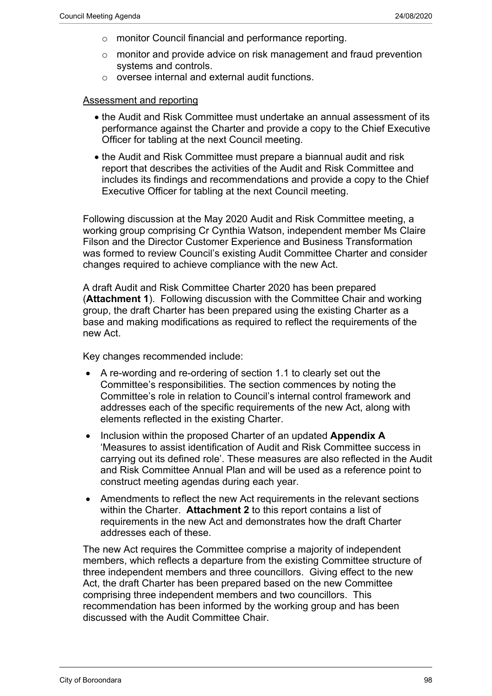- o monitor Council financial and performance reporting.
- o monitor and provide advice on risk management and fraud prevention systems and controls.
- o oversee internal and external audit functions.

#### Assessment and reporting

- the Audit and Risk Committee must undertake an annual assessment of its performance against the Charter and provide a copy to the Chief Executive Officer for tabling at the next Council meeting.
- the Audit and Risk Committee must prepare a biannual audit and risk report that describes the activities of the Audit and Risk Committee and includes its findings and recommendations and provide a copy to the Chief Executive Officer for tabling at the next Council meeting.

Following discussion at the May 2020 Audit and Risk Committee meeting, a working group comprising Cr Cynthia Watson, independent member Ms Claire Filson and the Director Customer Experience and Business Transformation was formed to review Council's existing Audit Committee Charter and consider changes required to achieve compliance with the new Act.

A draft Audit and Risk Committee Charter 2020 has been prepared (**Attachment 1**). Following discussion with the Committee Chair and working group, the draft Charter has been prepared using the existing Charter as a base and making modifications as required to reflect the requirements of the new Act.

Key changes recommended include:

- A re-wording and re-ordering of section 1.1 to clearly set out the Committee's responsibilities. The section commences by noting the Committee's role in relation to Council's internal control framework and addresses each of the specific requirements of the new Act, along with elements reflected in the existing Charter.
- Inclusion within the proposed Charter of an updated **Appendix A** 'Measures to assist identification of Audit and Risk Committee success in carrying out its defined role'. These measures are also reflected in the Audit and Risk Committee Annual Plan and will be used as a reference point to construct meeting agendas during each year.
- Amendments to reflect the new Act requirements in the relevant sections within the Charter. **Attachment 2** to this report contains a list of requirements in the new Act and demonstrates how the draft Charter addresses each of these.

The new Act requires the Committee comprise a majority of independent members, which reflects a departure from the existing Committee structure of three independent members and three councillors. Giving effect to the new Act, the draft Charter has been prepared based on the new Committee comprising three independent members and two councillors. This recommendation has been informed by the working group and has been discussed with the Audit Committee Chair.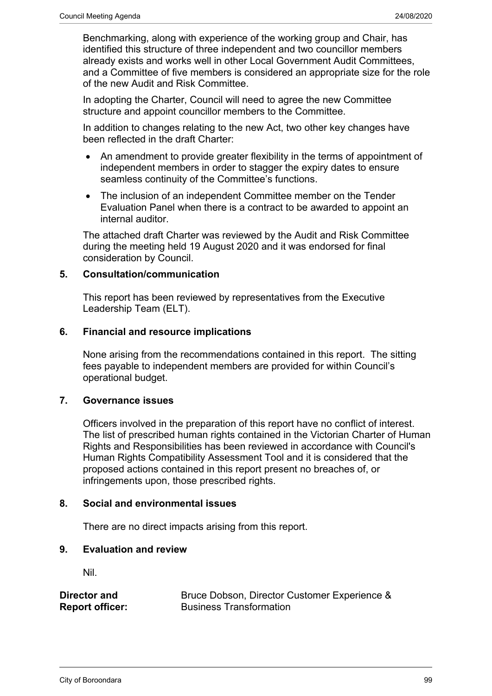Benchmarking, along with experience of the working group and Chair, has identified this structure of three independent and two councillor members already exists and works well in other Local Government Audit Committees, and a Committee of five members is considered an appropriate size for the role of the new Audit and Risk Committee.

In adopting the Charter, Council will need to agree the new Committee structure and appoint councillor members to the Committee.

In addition to changes relating to the new Act, two other key changes have been reflected in the draft Charter:

- An amendment to provide greater flexibility in the terms of appointment of independent members in order to stagger the expiry dates to ensure seamless continuity of the Committee's functions.
- The inclusion of an independent Committee member on the Tender Evaluation Panel when there is a contract to be awarded to appoint an internal auditor.

The attached draft Charter was reviewed by the Audit and Risk Committee during the meeting held 19 August 2020 and it was endorsed for final consideration by Council.

#### **5. Consultation/communication**

This report has been reviewed by representatives from the Executive Leadership Team (ELT).

#### **6. Financial and resource implications**

None arising from the recommendations contained in this report. The sitting fees payable to independent members are provided for within Council's operational budget.

#### **7. Governance issues**

Officers involved in the preparation of this report have no conflict of interest. The list of prescribed human rights contained in the Victorian Charter of Human Rights and Responsibilities has been reviewed in accordance with Council's Human Rights Compatibility Assessment Tool and it is considered that the proposed actions contained in this report present no breaches of, or infringements upon, those prescribed rights.

#### **8. Social and environmental issues**

There are no direct impacts arising from this report.

#### **9. Evaluation and review**

Nil.

| Director and           | Bruce Dobson, Director Customer Experience & |
|------------------------|----------------------------------------------|
| <b>Report officer:</b> | <b>Business Transformation</b>               |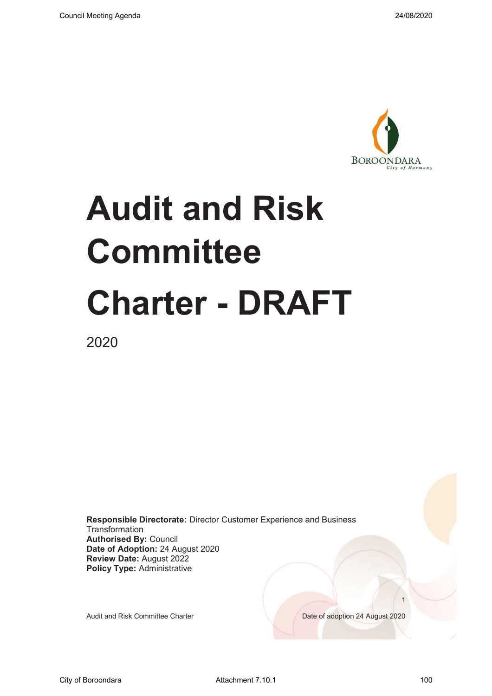

# **Audit and Risk Committee Charter - DRAFT**

2020

**Responsible Directorate:** Director Customer Experience and Business **Transformation Authorised By:** Council **Date of Adoption:** 24 August 2020 **Review Date:** August 2022 **Policy Type:** Administrative

Audit and Risk Committee Charter **Date of adoption 24 August 2020** 

 $\sim$  1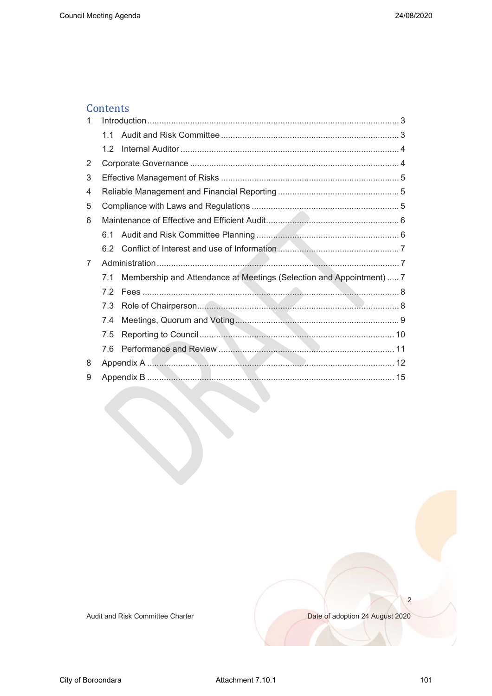#### Contents

| 1 |     |                                                                      |  |
|---|-----|----------------------------------------------------------------------|--|
|   | 11  |                                                                      |  |
|   | 1.2 |                                                                      |  |
| 2 |     |                                                                      |  |
| 3 |     |                                                                      |  |
| 4 |     |                                                                      |  |
| 5 |     |                                                                      |  |
| 6 |     |                                                                      |  |
|   | 6.1 |                                                                      |  |
|   | 6.2 |                                                                      |  |
| 7 |     |                                                                      |  |
|   | 7.1 | Membership and Attendance at Meetings (Selection and Appointment)  7 |  |
|   | 7.2 |                                                                      |  |
|   | 7.3 |                                                                      |  |
|   | 7.4 |                                                                      |  |
|   | 7.5 |                                                                      |  |
|   | 7.6 |                                                                      |  |
| 8 |     |                                                                      |  |
| 9 |     |                                                                      |  |

Audit and Risk Committee Charter

Date of adoption 24 August 2020

 $\overline{c}$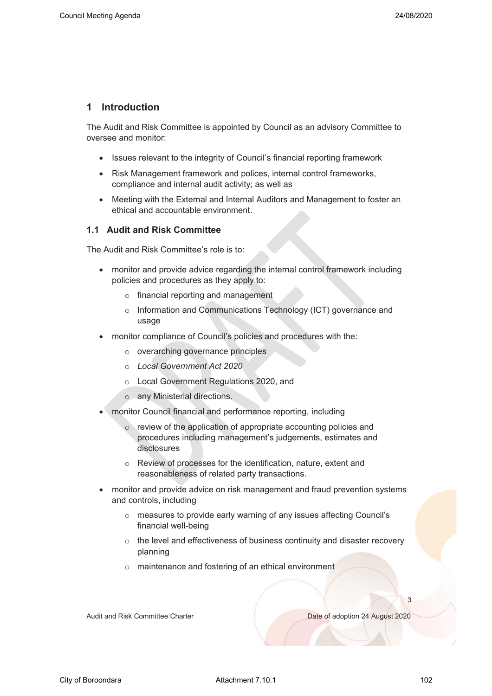#### **1 Introduction**

The Audit and Risk Committee is appointed by Council as an advisory Committee to oversee and monitor:

- Issues relevant to the integrity of Council's financial reporting framework
- Risk Management framework and polices, internal control frameworks, compliance and internal audit activity; as well as
- Meeting with the External and Internal Auditors and Management to foster an ethical and accountable environment.

#### **1.1 Audit and Risk Committee**

The Audit and Risk Committee's role is to:

- monitor and provide advice regarding the internal control framework including policies and procedures as they apply to:
	- o financial reporting and management
	- o Information and Communications Technology (ICT) governance and usage
- monitor compliance of Council's policies and procedures with the:
	- o overarching governance principles
	- o *Local Government Act 2020*
	- o Local Government Regulations 2020, and
	- o any Ministerial directions.
- monitor Council financial and performance reporting, including
	- o review of the application of appropriate accounting policies and procedures including management's judgements, estimates and disclosures
	- o Review of processes for the identification, nature, extent and reasonableness of related party transactions.
- monitor and provide advice on risk management and fraud prevention systems and controls, including
	- o measures to provide early warning of any issues affecting Council's financial well-being
	- o the level and effectiveness of business continuity and disaster recovery planning
	- o maintenance and fostering of an ethical environment

Audit and Risk Committee Charter Date of adoption 24 August 2020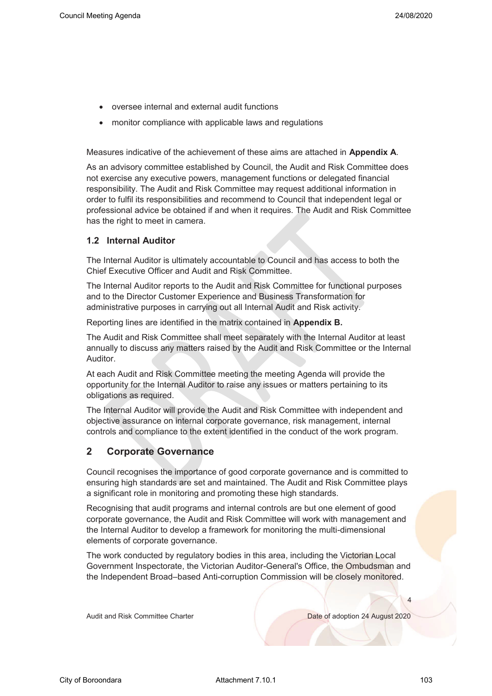- oversee internal and external audit functions
- monitor compliance with applicable laws and regulations

Measures indicative of the achievement of these aims are attached in **Appendix A**.

As an advisory committee established by Council, the Audit and Risk Committee does not exercise any executive powers, management functions or delegated financial responsibility. The Audit and Risk Committee may request additional information in order to fulfil its responsibilities and recommend to Council that independent legal or professional advice be obtained if and when it requires. The Audit and Risk Committee has the right to meet in camera.

#### **1.2 Internal Auditor**

The Internal Auditor is ultimately accountable to Council and has access to both the Chief Executive Officer and Audit and Risk Committee.

The Internal Auditor reports to the Audit and Risk Committee for functional purposes and to the Director Customer Experience and Business Transformation for administrative purposes in carrying out all Internal Audit and Risk activity.

Reporting lines are identified in the matrix contained in **Appendix B.**

The Audit and Risk Committee shall meet separately with the Internal Auditor at least annually to discuss any matters raised by the Audit and Risk Committee or the Internal Auditor.

At each Audit and Risk Committee meeting the meeting Agenda will provide the opportunity for the Internal Auditor to raise any issues or matters pertaining to its obligations as required.

The Internal Auditor will provide the Audit and Risk Committee with independent and objective assurance on internal corporate governance, risk management, internal controls and compliance to the extent identified in the conduct of the work program.

#### **2 Corporate Governance**

Council recognises the importance of good corporate governance and is committed to ensuring high standards are set and maintained. The Audit and Risk Committee plays a significant role in monitoring and promoting these high standards.

Recognising that audit programs and internal controls are but one element of good corporate governance, the Audit and Risk Committee will work with management and the Internal Auditor to develop a framework for monitoring the multi-dimensional elements of corporate governance.

The work conducted by regulatory bodies in this area, including the Victorian Local Government Inspectorate, the Victorian Auditor-General's Office, the Ombudsman and the Independent Broad–based Anti-corruption Commission will be closely monitored.

Audit and Risk Committee Charter Date of adoption 24 August 2020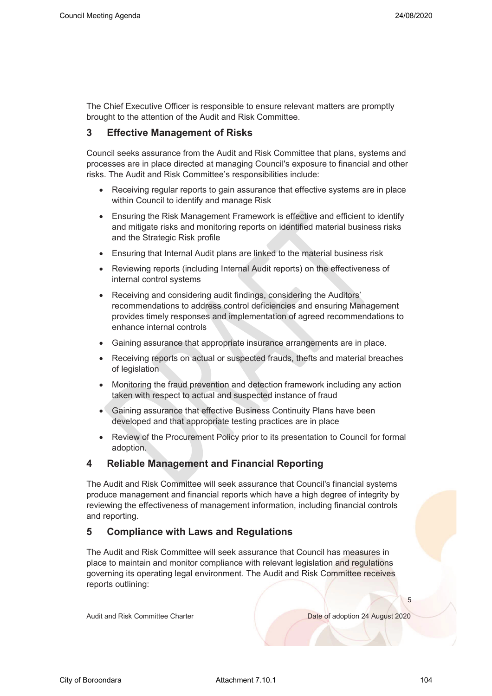The Chief Executive Officer is responsible to ensure relevant matters are promptly brought to the attention of the Audit and Risk Committee.

#### **3 Effective Management of Risks**

Council seeks assurance from the Audit and Risk Committee that plans, systems and processes are in place directed at managing Council's exposure to financial and other risks. The Audit and Risk Committee's responsibilities include:

- Receiving regular reports to gain assurance that effective systems are in place within Council to identify and manage Risk
- Ensuring the Risk Management Framework is effective and efficient to identify and mitigate risks and monitoring reports on identified material business risks and the Strategic Risk profile
- Ensuring that Internal Audit plans are linked to the material business risk
- Reviewing reports (including Internal Audit reports) on the effectiveness of internal control systems
- Receiving and considering audit findings, considering the Auditors' recommendations to address control deficiencies and ensuring Management provides timely responses and implementation of agreed recommendations to enhance internal controls
- Gaining assurance that appropriate insurance arrangements are in place.
- Receiving reports on actual or suspected frauds, thefts and material breaches of legislation
- Monitoring the fraud prevention and detection framework including any action taken with respect to actual and suspected instance of fraud
- Gaining assurance that effective Business Continuity Plans have been developed and that appropriate testing practices are in place
- Review of the Procurement Policy prior to its presentation to Council for formal adoption.

#### **4 Reliable Management and Financial Reporting**

The Audit and Risk Committee will seek assurance that Council's financial systems produce management and financial reports which have a high degree of integrity by reviewing the effectiveness of management information, including financial controls and reporting.

#### **5 Compliance with Laws and Regulations**

The Audit and Risk Committee will seek assurance that Council has measures in place to maintain and monitor compliance with relevant legislation and regulations governing its operating legal environment. The Audit and Risk Committee receives reports outlining:

Audit and Risk Committee Charter Date of adoption 24 August 2020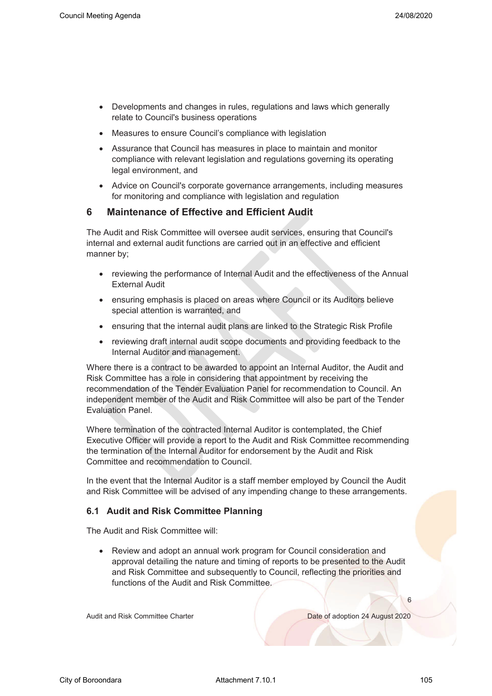- Developments and changes in rules, regulations and laws which generally relate to Council's business operations
- Measures to ensure Council's compliance with legislation
- Assurance that Council has measures in place to maintain and monitor compliance with relevant legislation and regulations governing its operating legal environment, and
- Advice on Council's corporate governance arrangements, including measures for monitoring and compliance with legislation and regulation

#### **6 Maintenance of Effective and Efficient Audit**

The Audit and Risk Committee will oversee audit services, ensuring that Council's internal and external audit functions are carried out in an effective and efficient manner by;

- reviewing the performance of Internal Audit and the effectiveness of the Annual External Audit
- ensuring emphasis is placed on areas where Council or its Auditors believe special attention is warranted, and
- ensuring that the internal audit plans are linked to the Strategic Risk Profile
- reviewing draft internal audit scope documents and providing feedback to the Internal Auditor and management.

Where there is a contract to be awarded to appoint an Internal Auditor, the Audit and Risk Committee has a role in considering that appointment by receiving the recommendation of the Tender Evaluation Panel for recommendation to Council. An independent member of the Audit and Risk Committee will also be part of the Tender Evaluation Panel.

Where termination of the contracted Internal Auditor is contemplated, the Chief Executive Officer will provide a report to the Audit and Risk Committee recommending the termination of the Internal Auditor for endorsement by the Audit and Risk Committee and recommendation to Council.

In the event that the Internal Auditor is a staff member employed by Council the Audit and Risk Committee will be advised of any impending change to these arrangements.

#### **6.1 Audit and Risk Committee Planning**

The Audit and Risk Committee will:

• Review and adopt an annual work program for Council consideration and approval detailing the nature and timing of reports to be presented to the Audit and Risk Committee and subsequently to Council, reflecting the priorities and functions of the Audit and Risk Committee.

Audit and Risk Committee Charter Date of adoption 24 August 2020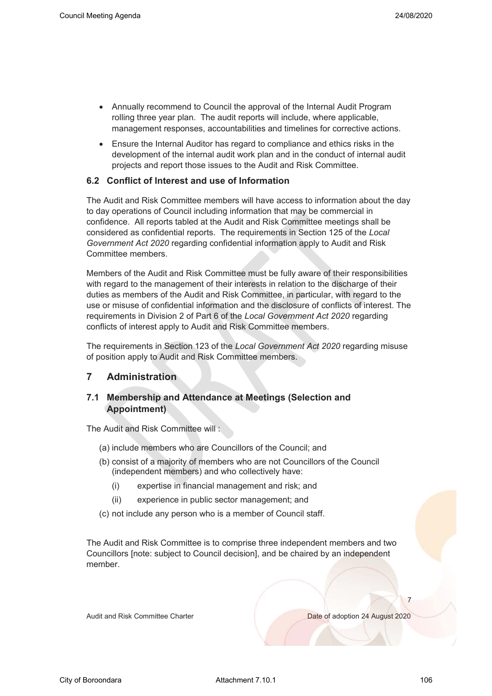- Annually recommend to Council the approval of the Internal Audit Program rolling three year plan. The audit reports will include, where applicable, management responses, accountabilities and timelines for corrective actions.
- Ensure the Internal Auditor has regard to compliance and ethics risks in the development of the internal audit work plan and in the conduct of internal audit projects and report those issues to the Audit and Risk Committee.

#### **6.2 Conflict of Interest and use of Information**

The Audit and Risk Committee members will have access to information about the day to day operations of Council including information that may be commercial in confidence. All reports tabled at the Audit and Risk Committee meetings shall be considered as confidential reports. The requirements in Section 125 of the *Local Government Act 2020* regarding confidential information apply to Audit and Risk Committee members.

Members of the Audit and Risk Committee must be fully aware of their responsibilities with regard to the management of their interests in relation to the discharge of their duties as members of the Audit and Risk Committee, in particular, with regard to the use or misuse of confidential information and the disclosure of conflicts of interest. The requirements in Division 2 of Part 6 of the *Local Government Act 2020* regarding conflicts of interest apply to Audit and Risk Committee members.

The requirements in Section 123 of the *Local Government Act 2020* regarding misuse of position apply to Audit and Risk Committee members.

#### **7 Administration**

#### **7.1 Membership and Attendance at Meetings (Selection and Appointment)**

The Audit and Risk Committee will :

- (a) include members who are Councillors of the Council; and
- (b) consist of a majority of members who are not Councillors of the Council (independent members) and who collectively have:
	- (i) expertise in financial management and risk; and
	- (ii) experience in public sector management; and
- (c) not include any person who is a member of Council staff.

The Audit and Risk Committee is to comprise three independent members and two Councillors [note: subject to Council decision], and be chaired by an independent member.

Audit and Risk Committee Charter Date of adoption 24 August 2020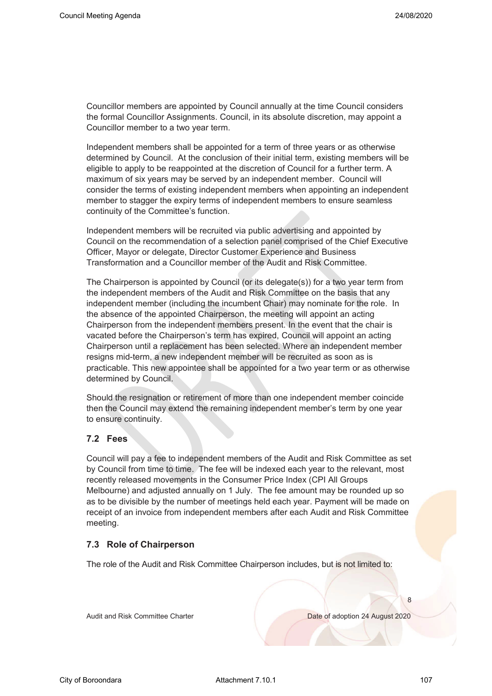Councillor members are appointed by Council annually at the time Council considers the formal Councillor Assignments. Council, in its absolute discretion, may appoint a Councillor member to a two year term.

Independent members shall be appointed for a term of three years or as otherwise determined by Council. At the conclusion of their initial term, existing members will be eligible to apply to be reappointed at the discretion of Council for a further term. A maximum of six years may be served by an independent member. Council will consider the terms of existing independent members when appointing an independent member to stagger the expiry terms of independent members to ensure seamless continuity of the Committee's function.

Independent members will be recruited via public advertising and appointed by Council on the recommendation of a selection panel comprised of the Chief Executive Officer, Mayor or delegate, Director Customer Experience and Business Transformation and a Councillor member of the Audit and Risk Committee.

The Chairperson is appointed by Council (or its delegate(s)) for a two year term from the independent members of the Audit and Risk Committee on the basis that any independent member (including the incumbent Chair) may nominate for the role. In the absence of the appointed Chairperson, the meeting will appoint an acting Chairperson from the independent members present. In the event that the chair is vacated before the Chairperson's term has expired, Council will appoint an acting Chairperson until a replacement has been selected. Where an independent member resigns mid-term, a new independent member will be recruited as soon as is practicable. This new appointee shall be appointed for a two year term or as otherwise determined by Council.

Should the resignation or retirement of more than one independent member coincide then the Council may extend the remaining independent member's term by one year to ensure continuity.

#### **7.2 Fees**

Council will pay a fee to independent members of the Audit and Risk Committee as set by Council from time to time. The fee will be indexed each year to the relevant, most recently released movements in the Consumer Price Index (CPI All Groups Melbourne) and adjusted annually on 1 July. The fee amount may be rounded up so as to be divisible by the number of meetings held each year. Payment will be made on receipt of an invoice from independent members after each Audit and Risk Committee meeting.

#### **7.3 Role of Chairperson**

The role of the Audit and Risk Committee Chairperson includes, but is not limited to:

Audit and Risk Committee Charter Date of adoption 24 August 2020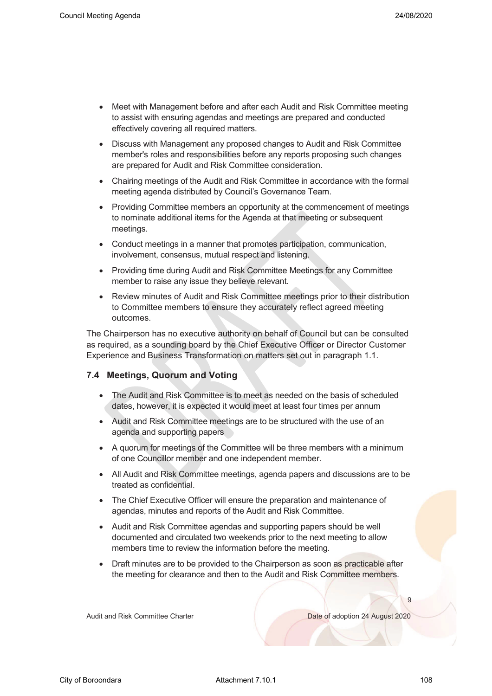- Meet with Management before and after each Audit and Risk Committee meeting to assist with ensuring agendas and meetings are prepared and conducted effectively covering all required matters.
- Discuss with Management any proposed changes to Audit and Risk Committee member's roles and responsibilities before any reports proposing such changes are prepared for Audit and Risk Committee consideration.
- Chairing meetings of the Audit and Risk Committee in accordance with the formal meeting agenda distributed by Council's Governance Team.
- Providing Committee members an opportunity at the commencement of meetings to nominate additional items for the Agenda at that meeting or subsequent meetings.
- Conduct meetings in a manner that promotes participation, communication, involvement, consensus, mutual respect and listening.
- Providing time during Audit and Risk Committee Meetings for any Committee member to raise any issue they believe relevant.
- Review minutes of Audit and Risk Committee meetings prior to their distribution to Committee members to ensure they accurately reflect agreed meeting outcomes.

The Chairperson has no executive authority on behalf of Council but can be consulted as required, as a sounding board by the Chief Executive Officer or Director Customer Experience and Business Transformation on matters set out in paragraph 1.1.

#### **7.4 Meetings, Quorum and Voting**

- The Audit and Risk Committee is to meet as needed on the basis of scheduled dates, however, it is expected it would meet at least four times per annum
- Audit and Risk Committee meetings are to be structured with the use of an agenda and supporting papers
- A quorum for meetings of the Committee will be three members with a minimum of one Councillor member and one independent member.
- All Audit and Risk Committee meetings, agenda papers and discussions are to be treated as confidential.
- The Chief Executive Officer will ensure the preparation and maintenance of agendas, minutes and reports of the Audit and Risk Committee.
- Audit and Risk Committee agendas and supporting papers should be well documented and circulated two weekends prior to the next meeting to allow members time to review the information before the meeting.
- Draft minutes are to be provided to the Chairperson as soon as practicable after the meeting for clearance and then to the Audit and Risk Committee members.

Audit and Risk Committee Charter **Date of adoption 24 August 2020** 

 $\overline{Q}$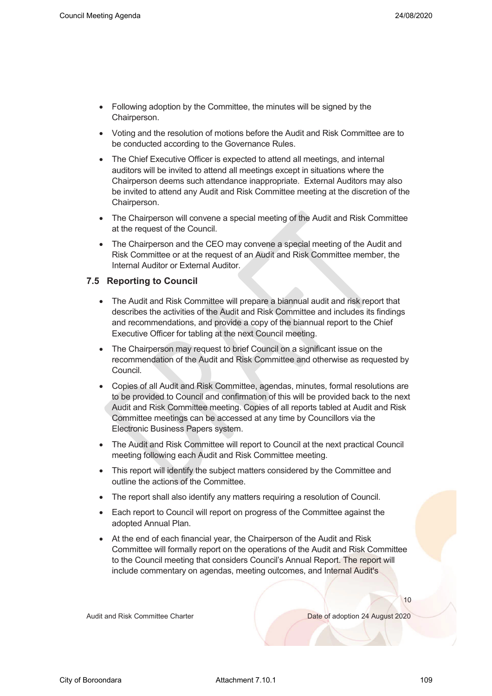- Following adoption by the Committee, the minutes will be signed by the Chairperson.
- Voting and the resolution of motions before the Audit and Risk Committee are to be conducted according to the Governance Rules.
- The Chief Executive Officer is expected to attend all meetings, and internal auditors will be invited to attend all meetings except in situations where the Chairperson deems such attendance inappropriate. External Auditors may also be invited to attend any Audit and Risk Committee meeting at the discretion of the Chairperson.
- The Chairperson will convene a special meeting of the Audit and Risk Committee at the request of the Council.
- The Chairperson and the CEO may convene a special meeting of the Audit and Risk Committee or at the request of an Audit and Risk Committee member, the Internal Auditor or External Auditor.

#### **7.5 Reporting to Council**

- The Audit and Risk Committee will prepare a biannual audit and risk report that describes the activities of the Audit and Risk Committee and includes its findings and recommendations, and provide a copy of the biannual report to the Chief Executive Officer for tabling at the next Council meeting.
- The Chairperson may request to brief Council on a significant issue on the recommendation of the Audit and Risk Committee and otherwise as requested by Council.
- Copies of all Audit and Risk Committee, agendas, minutes, formal resolutions are to be provided to Council and confirmation of this will be provided back to the next Audit and Risk Committee meeting. Copies of all reports tabled at Audit and Risk Committee meetings can be accessed at any time by Councillors via the Electronic Business Papers system.
- The Audit and Risk Committee will report to Council at the next practical Council meeting following each Audit and Risk Committee meeting.
- This report will identify the subject matters considered by the Committee and outline the actions of the Committee.
- The report shall also identify any matters requiring a resolution of Council.
- Each report to Council will report on progress of the Committee against the adopted Annual Plan.
- At the end of each financial year, the Chairperson of the Audit and Risk Committee will formally report on the operations of the Audit and Risk Committee to the Council meeting that considers Council's Annual Report. The report will include commentary on agendas, meeting outcomes, and Internal Audit's

Audit and Risk Committee Charter Date of adoption 24 August 2020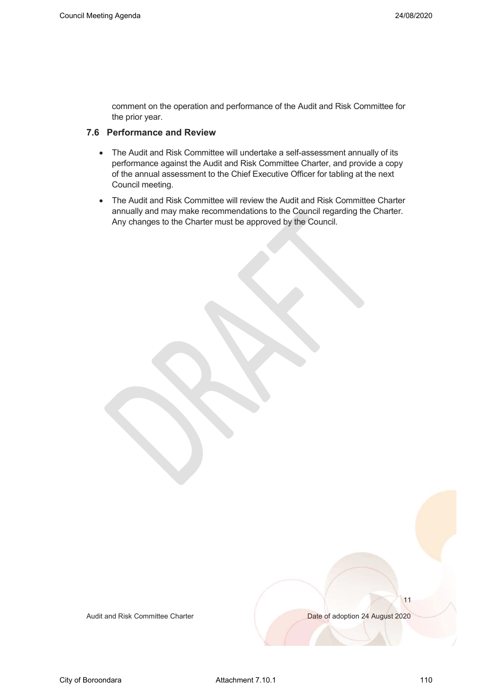comment on the operation and performance of the Audit and Risk Committee for the prior year.

#### **7.6 Performance and Review**

- The Audit and Risk Committee will undertake a self-assessment annually of its performance against the Audit and Risk Committee Charter, and provide a copy of the annual assessment to the Chief Executive Officer for tabling at the next Council meeting.
- The Audit and Risk Committee will review the Audit and Risk Committee Charter annually and may make recommendations to the Council regarding the Charter. Any changes to the Charter must be approved by the Council.

Audit and Risk Committee Charter Date of adoption 24 August 2020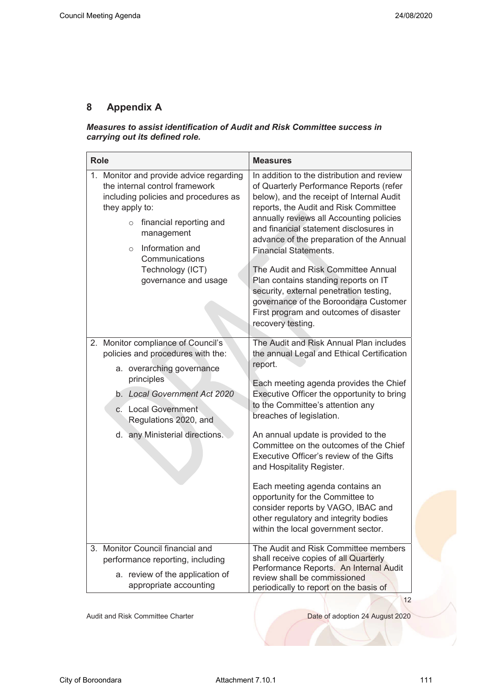#### **8 Appendix A**

#### *Measures to assist identification of Audit and Risk Committee success in carrying out its defined role.*

| <b>Role</b>                                                                                                                                                                                                                                                                         | <b>Measures</b>                                                                                                                                                                                                                                                                                                                                                                                                                                                                                                                                                                                                |
|-------------------------------------------------------------------------------------------------------------------------------------------------------------------------------------------------------------------------------------------------------------------------------------|----------------------------------------------------------------------------------------------------------------------------------------------------------------------------------------------------------------------------------------------------------------------------------------------------------------------------------------------------------------------------------------------------------------------------------------------------------------------------------------------------------------------------------------------------------------------------------------------------------------|
| 1. Monitor and provide advice regarding<br>the internal control framework<br>including policies and procedures as<br>they apply to:<br>financial reporting and<br>$\circ$<br>management<br>Information and<br>$\circ$<br>Communications<br>Technology (ICT)<br>governance and usage | In addition to the distribution and review<br>of Quarterly Performance Reports (refer<br>below), and the receipt of Internal Audit<br>reports, the Audit and Risk Committee<br>annually reviews all Accounting policies<br>and financial statement disclosures in<br>advance of the preparation of the Annual<br><b>Financial Statements.</b><br>The Audit and Risk Committee Annual<br>Plan contains standing reports on IT<br>security, external penetration testing,<br>governance of the Boroondara Customer<br>First program and outcomes of disaster<br>recovery testing.                                |
| 2. Monitor compliance of Council's<br>policies and procedures with the:<br>a. overarching governance<br>principles<br>b. Local Government Act 2020<br>c. Local Government<br>Regulations 2020, and<br>d. any Ministerial directions.                                                | The Audit and Risk Annual Plan includes<br>the annual Legal and Ethical Certification<br>report.<br>Each meeting agenda provides the Chief<br>Executive Officer the opportunity to bring<br>to the Committee's attention any<br>breaches of legislation.<br>An annual update is provided to the<br>Committee on the outcomes of the Chief<br>Executive Officer's review of the Gifts<br>and Hospitality Register.<br>Each meeting agenda contains an<br>opportunity for the Committee to<br>consider reports by VAGO, IBAC and<br>other regulatory and integrity bodies<br>within the local government sector. |
| 3. Monitor Council financial and<br>performance reporting, including<br>a. review of the application of<br>appropriate accounting                                                                                                                                                   | The Audit and Risk Committee members<br>shall receive copies of all Quarterly<br>Performance Reports. An Internal Audit<br>review shall be commissioned<br>periodically to report on the basis of                                                                                                                                                                                                                                                                                                                                                                                                              |

Audit and Risk Committee Charter **Date of adoption 24 August 2020**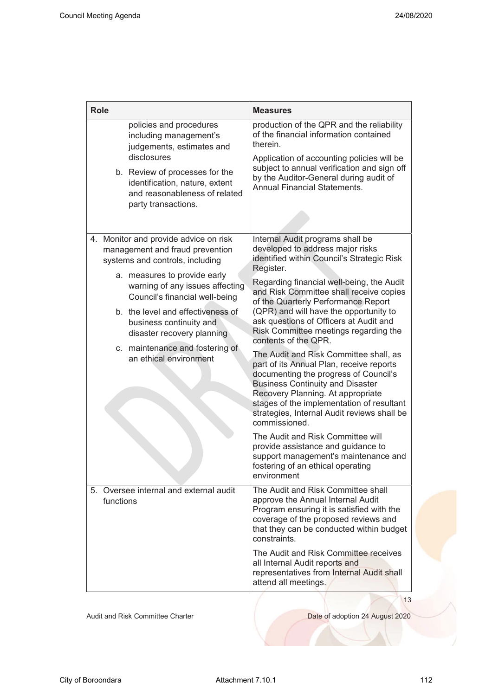| <b>Role</b>                                                                                                 |  |                                                                                                                                                                                                    | <b>Measures</b>                                                                                                                                                                                                                                                                                                          |
|-------------------------------------------------------------------------------------------------------------|--|----------------------------------------------------------------------------------------------------------------------------------------------------------------------------------------------------|--------------------------------------------------------------------------------------------------------------------------------------------------------------------------------------------------------------------------------------------------------------------------------------------------------------------------|
|                                                                                                             |  | policies and procedures<br>including management's<br>judgements, estimates and<br>disclosures<br>b. Review of processes for the<br>identification, nature, extent<br>and reasonableness of related | production of the QPR and the reliability<br>of the financial information contained<br>therein.<br>Application of accounting policies will be<br>subject to annual verification and sign off<br>by the Auditor-General during audit of<br><b>Annual Financial Statements.</b>                                            |
|                                                                                                             |  | party transactions.                                                                                                                                                                                |                                                                                                                                                                                                                                                                                                                          |
| 4. Monitor and provide advice on risk<br>management and fraud prevention<br>systems and controls, including |  |                                                                                                                                                                                                    | Internal Audit programs shall be<br>developed to address major risks<br>identified within Council's Strategic Risk<br>Register.                                                                                                                                                                                          |
|                                                                                                             |  | a. measures to provide early<br>warning of any issues affecting<br>Council's financial well-being                                                                                                  | Regarding financial well-being, the Audit<br>and Risk Committee shall receive copies<br>of the Quarterly Performance Report                                                                                                                                                                                              |
|                                                                                                             |  | b. the level and effectiveness of<br>business continuity and<br>disaster recovery planning                                                                                                         | (QPR) and will have the opportunity to<br>ask questions of Officers at Audit and<br>Risk Committee meetings regarding the<br>contents of the QPR.                                                                                                                                                                        |
|                                                                                                             |  | c. maintenance and fostering of<br>an ethical environment                                                                                                                                          | The Audit and Risk Committee shall, as<br>part of its Annual Plan, receive reports<br>documenting the progress of Council's<br><b>Business Continuity and Disaster</b><br>Recovery Planning. At appropriate<br>stages of the implementation of resultant<br>strategies, Internal Audit reviews shall be<br>commissioned. |
|                                                                                                             |  |                                                                                                                                                                                                    | The Audit and Risk Committee will<br>provide assistance and guidance to<br>support management's maintenance and<br>fostering of an ethical operating<br>environment                                                                                                                                                      |
|                                                                                                             |  | 5. Oversee internal and external audit<br>functions                                                                                                                                                | The Audit and Risk Committee shall<br>approve the Annual Internal Audit<br>Program ensuring it is satisfied with the<br>coverage of the proposed reviews and<br>that they can be conducted within budget<br>constraints.                                                                                                 |
|                                                                                                             |  |                                                                                                                                                                                                    | The Audit and Risk Committee receives<br>all Internal Audit reports and<br>representatives from Internal Audit shall<br>attend all meetings.                                                                                                                                                                             |
|                                                                                                             |  |                                                                                                                                                                                                    | 13                                                                                                                                                                                                                                                                                                                       |

Audit and Risk Committee Charter National Charter Date of adoption 24 August 2020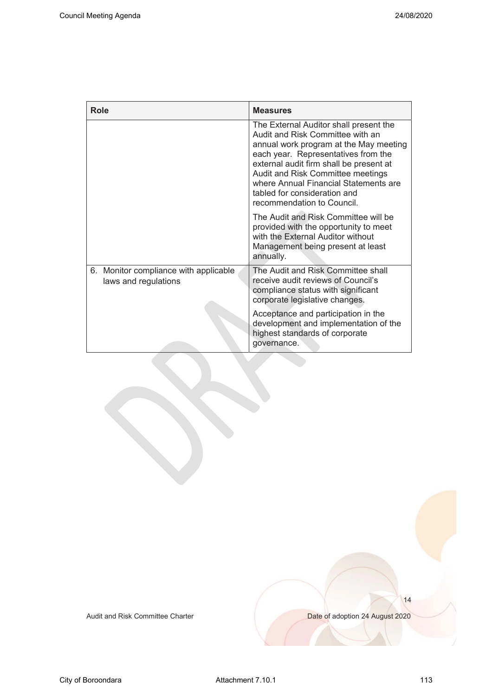| Role                                                          | <b>Measures</b>                                                                                                                                                                                                                                                                                                                                    |
|---------------------------------------------------------------|----------------------------------------------------------------------------------------------------------------------------------------------------------------------------------------------------------------------------------------------------------------------------------------------------------------------------------------------------|
|                                                               | The External Auditor shall present the<br>Audit and Risk Committee with an<br>annual work program at the May meeting<br>each year. Representatives from the<br>external audit firm shall be present at<br>Audit and Risk Committee meetings<br>where Annual Financial Statements are<br>tabled for consideration and<br>recommendation to Council. |
|                                                               | The Audit and Risk Committee will be<br>provided with the opportunity to meet<br>with the External Auditor without<br>Management being present at least<br>annually.                                                                                                                                                                               |
| 6. Monitor compliance with applicable<br>laws and regulations | The Audit and Risk Committee shall<br>receive audit reviews of Council's<br>compliance status with significant<br>corporate legislative changes.                                                                                                                                                                                                   |
|                                                               | Acceptance and participation in the<br>development and implementation of the<br>highest standards of corporate<br>governance.                                                                                                                                                                                                                      |

Audit and Risk Committee Charter **Date of adoption 24 August 2020**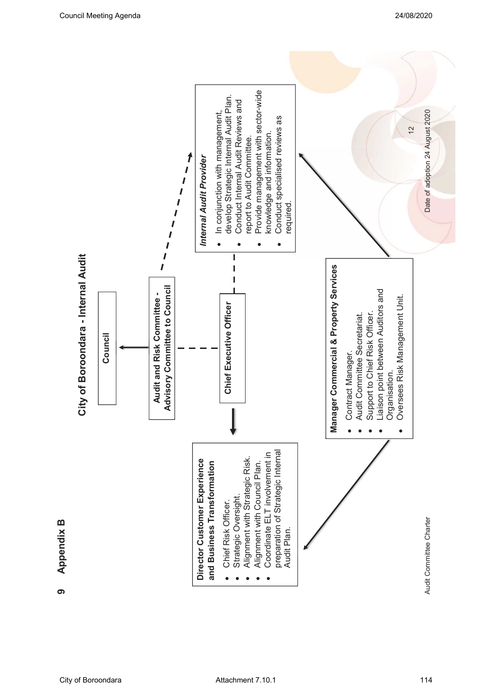

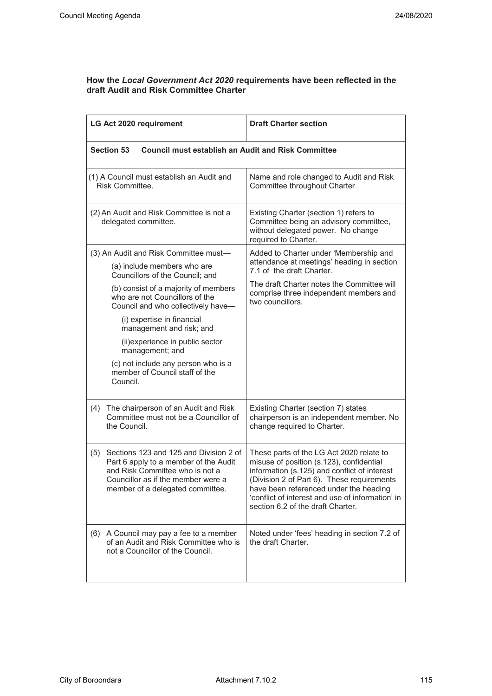#### **How the** *Local Government Act 2020* **requirements have been reflected in the draft Audit and Risk Committee Charter**

| LG Act 2020 requirement                                                                                 |                                                                                                                                                                                                  | <b>Draft Charter section</b>                                                                                                                                                                                                                                                                                          |
|---------------------------------------------------------------------------------------------------------|--------------------------------------------------------------------------------------------------------------------------------------------------------------------------------------------------|-----------------------------------------------------------------------------------------------------------------------------------------------------------------------------------------------------------------------------------------------------------------------------------------------------------------------|
|                                                                                                         | <b>Section 53</b><br><b>Council must establish an Audit and Risk Committee</b>                                                                                                                   |                                                                                                                                                                                                                                                                                                                       |
|                                                                                                         | (1) A Council must establish an Audit and<br>Risk Committee.                                                                                                                                     | Name and role changed to Audit and Risk<br>Committee throughout Charter                                                                                                                                                                                                                                               |
|                                                                                                         | (2) An Audit and Risk Committee is not a<br>delegated committee.                                                                                                                                 | Existing Charter (section 1) refers to<br>Committee being an advisory committee,<br>without delegated power. No change<br>required to Charter.                                                                                                                                                                        |
| (3) An Audit and Risk Committee must-<br>(a) include members who are<br>Councillors of the Council; and |                                                                                                                                                                                                  | Added to Charter under 'Membership and<br>attendance at meetings' heading in section<br>7.1 of the draft Charter.                                                                                                                                                                                                     |
|                                                                                                         | (b) consist of a majority of members<br>who are not Councillors of the<br>Council and who collectively have-                                                                                     | The draft Charter notes the Committee will<br>comprise three independent members and<br>two councillors.                                                                                                                                                                                                              |
|                                                                                                         | (i) expertise in financial<br>management and risk; and                                                                                                                                           |                                                                                                                                                                                                                                                                                                                       |
|                                                                                                         | (ii) experience in public sector<br>management; and                                                                                                                                              |                                                                                                                                                                                                                                                                                                                       |
|                                                                                                         | (c) not include any person who is a<br>member of Council staff of the<br>Council.                                                                                                                |                                                                                                                                                                                                                                                                                                                       |
| (4)                                                                                                     | The chairperson of an Audit and Risk<br>Committee must not be a Councillor of<br>the Council.                                                                                                    | Existing Charter (section 7) states<br>chairperson is an independent member. No<br>change required to Charter.                                                                                                                                                                                                        |
|                                                                                                         | (5) Sections 123 and 125 and Division 2 of<br>Part 6 apply to a member of the Audit<br>and Risk Committee who is not a<br>Councillor as if the member were a<br>member of a delegated committee. | These parts of the LG Act 2020 relate to<br>misuse of position (s.123), confidential<br>information (s.125) and conflict of interest<br>(Division 2 of Part 6). These requirements<br>have been referenced under the heading<br>'conflict of interest and use of information' in<br>section 6.2 of the draft Charter. |
| (6)                                                                                                     | A Council may pay a fee to a member<br>of an Audit and Risk Committee who is<br>not a Councillor of the Council.                                                                                 | Noted under 'fees' heading in section 7.2 of<br>the draft Charter.                                                                                                                                                                                                                                                    |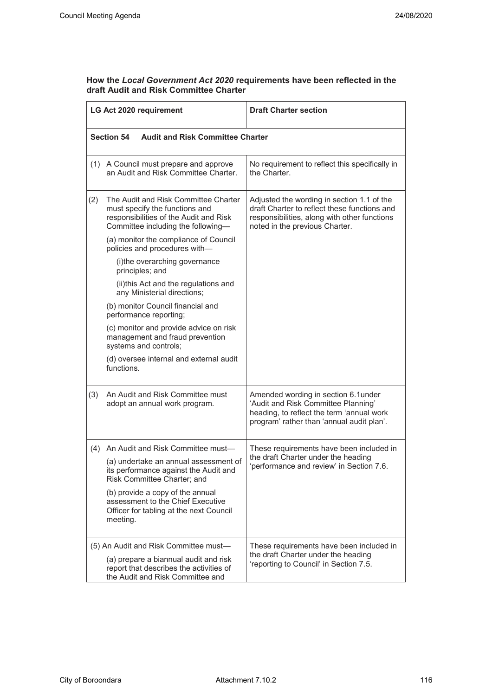#### **How the** *Local Government Act 2020* **requirements have been reflected in the draft Audit and Risk Committee Charter**

| LG Act 2020 requirement                                                                                                                                       |                                                                                                                              | <b>Draft Charter section</b>                                                                                                                                                 |  |
|---------------------------------------------------------------------------------------------------------------------------------------------------------------|------------------------------------------------------------------------------------------------------------------------------|------------------------------------------------------------------------------------------------------------------------------------------------------------------------------|--|
|                                                                                                                                                               | <b>Section 54</b><br><b>Audit and Risk Committee Charter</b>                                                                 |                                                                                                                                                                              |  |
|                                                                                                                                                               | (1) A Council must prepare and approve<br>an Audit and Risk Committee Charter.                                               | No requirement to reflect this specifically in<br>the Charter.                                                                                                               |  |
| (2)<br>The Audit and Risk Committee Charter<br>must specify the functions and<br>responsibilities of the Audit and Risk<br>Committee including the following- |                                                                                                                              | Adjusted the wording in section 1.1 of the<br>draft Charter to reflect these functions and<br>responsibilities, along with other functions<br>noted in the previous Charter. |  |
|                                                                                                                                                               | (a) monitor the compliance of Council<br>policies and procedures with-                                                       |                                                                                                                                                                              |  |
|                                                                                                                                                               | (i)the overarching governance<br>principles; and                                                                             |                                                                                                                                                                              |  |
|                                                                                                                                                               | (ii)this Act and the regulations and<br>any Ministerial directions;                                                          |                                                                                                                                                                              |  |
|                                                                                                                                                               | (b) monitor Council financial and<br>performance reporting;                                                                  |                                                                                                                                                                              |  |
|                                                                                                                                                               | (c) monitor and provide advice on risk<br>management and fraud prevention<br>systems and controls;                           |                                                                                                                                                                              |  |
|                                                                                                                                                               | (d) oversee internal and external audit<br>functions.                                                                        |                                                                                                                                                                              |  |
| (3)                                                                                                                                                           | An Audit and Risk Committee must<br>adopt an annual work program.                                                            | Amended wording in section 6.1under<br>'Audit and Risk Committee Planning'<br>heading, to reflect the term 'annual work<br>program' rather than 'annual audit plan'.         |  |
| (4)                                                                                                                                                           | An Audit and Risk Committee must-                                                                                            | These requirements have been included in                                                                                                                                     |  |
|                                                                                                                                                               | (a) undertake an annual assessment of<br>its performance against the Audit and<br>Risk Committee Charter; and                | the draft Charter under the heading<br>performance and review' in Section 7.6.                                                                                               |  |
|                                                                                                                                                               | (b) provide a copy of the annual<br>assessment to the Chief Executive<br>Officer for tabling at the next Council<br>meeting. |                                                                                                                                                                              |  |
|                                                                                                                                                               | (5) An Audit and Risk Committee must-                                                                                        | These requirements have been included in                                                                                                                                     |  |
|                                                                                                                                                               | (a) prepare a biannual audit and risk<br>report that describes the activities of<br>the Audit and Risk Committee and         | the draft Charter under the heading<br>'reporting to Council' in Section 7.5.                                                                                                |  |